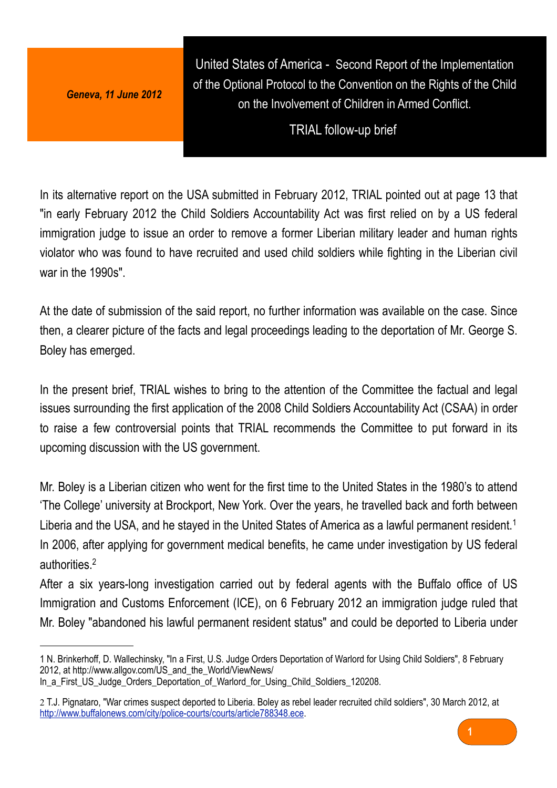*Geneva, 11 June 2012*

United States of America - Second Report of the Implementation of the Optional Protocol to the Convention on the Rights of the Child on the Involvement of Children in Armed Conflict.

TRIAL follow-up brief

In its alternative report on the USA submitted in February 2012, TRIAL pointed out at page 13 that "in early February 2012 the Child Soldiers Accountability Act was first relied on by a US federal immigration judge to issue an order to remove a former Liberian military leader and human rights violator who was found to have recruited and used child soldiers while fighting in the Liberian civil war in the 1990s".

At the date of submission of the said report, no further information was available on the case. Since then, a clearer picture of the facts and legal proceedings leading to the deportation of Mr. George S. Boley has emerged.

In the present brief, TRIAL wishes to bring to the attention of the Committee the factual and legal issues surrounding the first application of the 2008 Child Soldiers Accountability Act (CSAA) in order to raise a few controversial points that TRIAL recommends the Committee to put forward in its upcoming discussion with the US government.

Mr. Boley is a Liberian citizen who went for the first time to the United States in the 1980's to attend 'The College' university at Brockport, New York. Over the years, he travelled back and forth between Liberia and the USA, and he stayed in the United States of America as a lawful permanent resident.<sup>[1](#page-0-0)</sup> In 2006, after applying for government medical benefits, he came under investigation by US federal authorities.[2](#page-0-1)

After a six years-long investigation carried out by federal agents with the Buffalo office of US Immigration and Customs Enforcement (ICE), on 6 February 2012 an immigration judge ruled that Mr. Boley "abandoned his lawful permanent resident status" and could be deported to Liberia under

<span id="page-0-1"></span><sup>2</sup> T.J. Pignataro, "War crimes suspect deported to Liberia. Boley as rebel leader recruited child soldiers", 30 March 2012, at [http://www.buffalonews.com/city/police-courts/courts/article788348.ece.](http://www.buffalonews.com/city/police-courts/courts/article788348.ece)



<span id="page-0-0"></span><sup>1</sup> N. Brinkerhoff, D. Wallechinsky, "In a First, U.S. Judge Orders Deportation of Warlord for Using Child Soldiers", 8 February 2012, at [http://www.allgov.com/US\\_and\\_the\\_World/ViewNews/](http://www.allgov.com/US_and_the_World/ViewNews/In_a_First_US_Judge_Orders_Deportation_of_Warlord_for_Using_Child_Soldiers_120208) In a First US Judge Orders Deportation of Warlord for Using Child Soldiers 120208.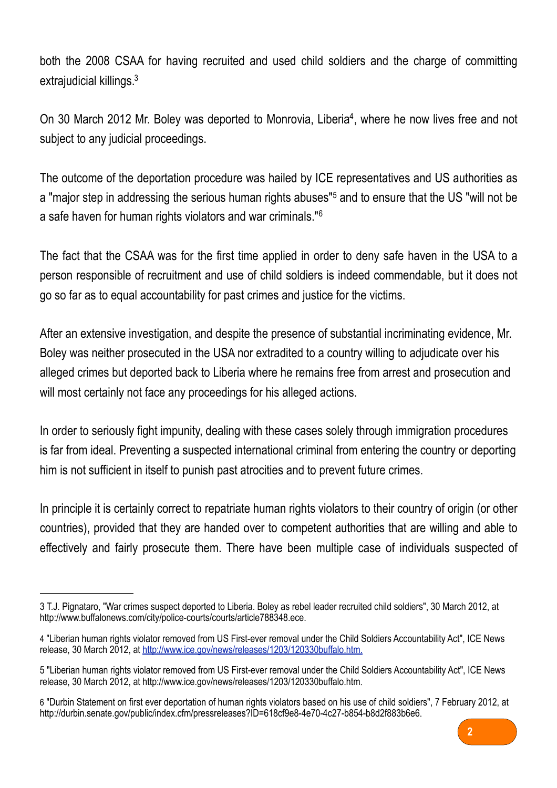both the 2008 CSAA for having recruited and used child soldiers and the charge of committing extrajudicial killings.[3](#page-1-0)

On 30 March 2012 Mr. Boley was deported to Monrovia, Liberia<sup>[4](#page-1-1)</sup>, where he now lives free and not subject to any judicial proceedings.

The outcome of the deportation procedure was hailed by ICE representatives and US authorities as a "major step in addressing the serious human rights abuses"<sup>[5](#page-1-2)</sup> and to ensure that the US "will not be a safe haven for human rights violators and war criminals."[6](#page-1-3)

The fact that the CSAA was for the first time applied in order to deny safe haven in the USA to a person responsible of recruitment and use of child soldiers is indeed commendable, but it does not go so far as to equal accountability for past crimes and justice for the victims.

After an extensive investigation, and despite the presence of substantial incriminating evidence, Mr. Boley was neither prosecuted in the USA nor extradited to a country willing to adjudicate over his alleged crimes but deported back to Liberia where he remains free from arrest and prosecution and will most certainly not face any proceedings for his alleged actions.

In order to seriously fight impunity, dealing with these cases solely through immigration procedures is far from ideal. Preventing a suspected international criminal from entering the country or deporting him is not sufficient in itself to punish past atrocities and to prevent future crimes.

In principle it is certainly correct to repatriate human rights violators to their country of origin (or other countries), provided that they are handed over to competent authorities that are willing and able to effectively and fairly prosecute them. There have been multiple case of individuals suspected of

<span id="page-1-3"></span><sup>6</sup> "Durbin Statement on first ever deportation of human rights violators based on his use of child soldiers", 7 February 2012, at <http://durbin.senate.gov/public/index.cfm/pressreleases?ID=618cf9e8-4e70-4c27-b854-b8d2f883b6e6>.



<span id="page-1-0"></span><sup>3</sup> T.J. Pignataro, "War crimes suspect deported to Liberia. Boley as rebel leader recruited child soldiers", 30 March 2012, at [http://www.buffalonews.com/city/police-courts/courts/article788348.ece.](http://www.buffalonews.com/city/police-courts/courts/article788348.ece)

<span id="page-1-1"></span><sup>4</sup> "Liberian human rights violator removed from US First-ever removal under the Child Soldiers Accountability Act", ICE News release, 30 March 2012, at [http://www.ice.gov/news/releases/1203/120330buffalo.htm.](http://www.ice.gov/news/releases/1203/120330buffalo.htm)

<span id="page-1-2"></span><sup>5 &</sup>quot;Liberian human rights violator removed from US First-ever removal under the Child Soldiers Accountability Act", ICE News release, 30 March 2012, at<http://www.ice.gov/news/releases/1203/120330buffalo.htm>.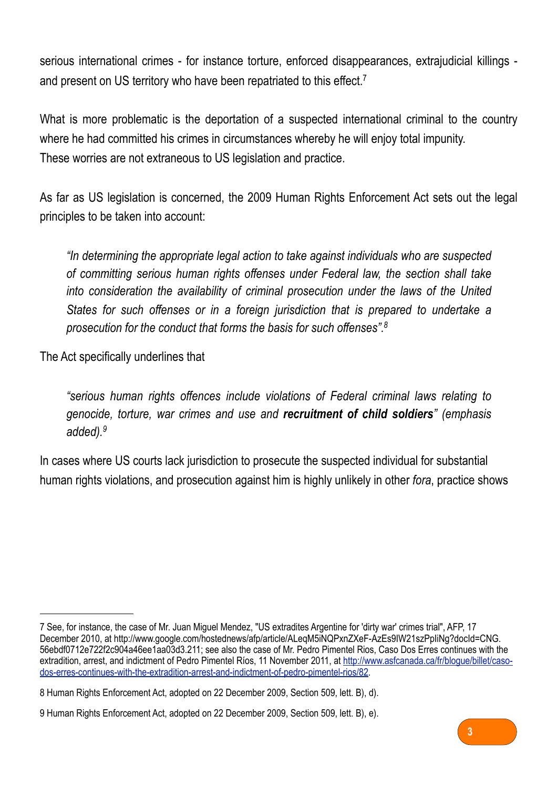serious international crimes - for instance torture, enforced disappearances, extrajudicial killings - and present on US territory who have been repatriated to this effect.<sup>[7](#page-2-0)</sup>

What is more problematic is the deportation of a suspected international criminal to the country where he had committed his crimes in circumstances whereby he will enjoy total impunity. These worries are not extraneous to US legislation and practice.

As far as US legislation is concerned, the 2009 Human Rights Enforcement Act sets out the legal principles to be taken into account:

*"In determining the appropriate legal action to take against individuals who are suspected of committing serious human rights offenses under Federal law, the section shall take into consideration the availability of criminal prosecution under the laws of the United States for such offenses or in a foreign jurisdiction that is prepared to undertake a prosecution for the conduct that forms the basis for such offenses"[.8](#page-2-1)*

The Act specifically underlines that

*"serious human rights offences include violations of Federal criminal laws relating to genocide, torture, war crimes and use and recruitment of child soldiers" (emphasis added).[9](#page-2-2)*

In cases where US courts lack jurisdiction to prosecute the suspected individual for substantial human rights violations, and prosecution against him is highly unlikely in other *fora*, practice shows



<span id="page-2-0"></span><sup>7</sup> See, for instance, the case of Mr. Juan Miguel Mendez, "US extradites Argentine for 'dirty war' crimes trial", AFP, 17 December 2010, at [http://www.google.com/hostednews/afp/article/ALeqM5iNQPxnZXeF-AzEs9IW21szPpIiNg?docId=CNG.](http://www.google.com/hostednews/afp/article/ALeqM5iNQPxnZXeF-AzEs9IW21szPpIiNg?docId=CNG.56ebdf0712e722f2c904a46ee1aa03d3.211) [56ebdf0712e722f2c904a46ee1aa03d3.211](http://www.google.com/hostednews/afp/article/ALeqM5iNQPxnZXeF-AzEs9IW21szPpIiNg?docId=CNG.56ebdf0712e722f2c904a46ee1aa03d3.211); see also the case of Mr. Pedro Pimentel Rios, Caso Dos Erres continues with the extradition, arrest, and indictment of Pedro Pimentel Ríos, 11 November 2011, at [http://www.asfcanada.ca/fr/blogue/billet/caso](http://www.asfcanada.ca/fr/blogue/billet/caso-dos-erres-continues-with-the-extradition-arrest-and-indictment-of-pedro-pimentel-rios/82)[dos-erres-continues-with-the-extradition-arrest-and-indictment-of-pedro-pimentel-rios/82](http://www.asfcanada.ca/fr/blogue/billet/caso-dos-erres-continues-with-the-extradition-arrest-and-indictment-of-pedro-pimentel-rios/82).

<span id="page-2-1"></span><sup>8</sup> Human Rights Enforcement Act, adopted on 22 December 2009, Section 509, lett. B), d).

<span id="page-2-2"></span><sup>9</sup> Human Rights Enforcement Act, adopted on 22 December 2009, Section 509, lett. B), e).